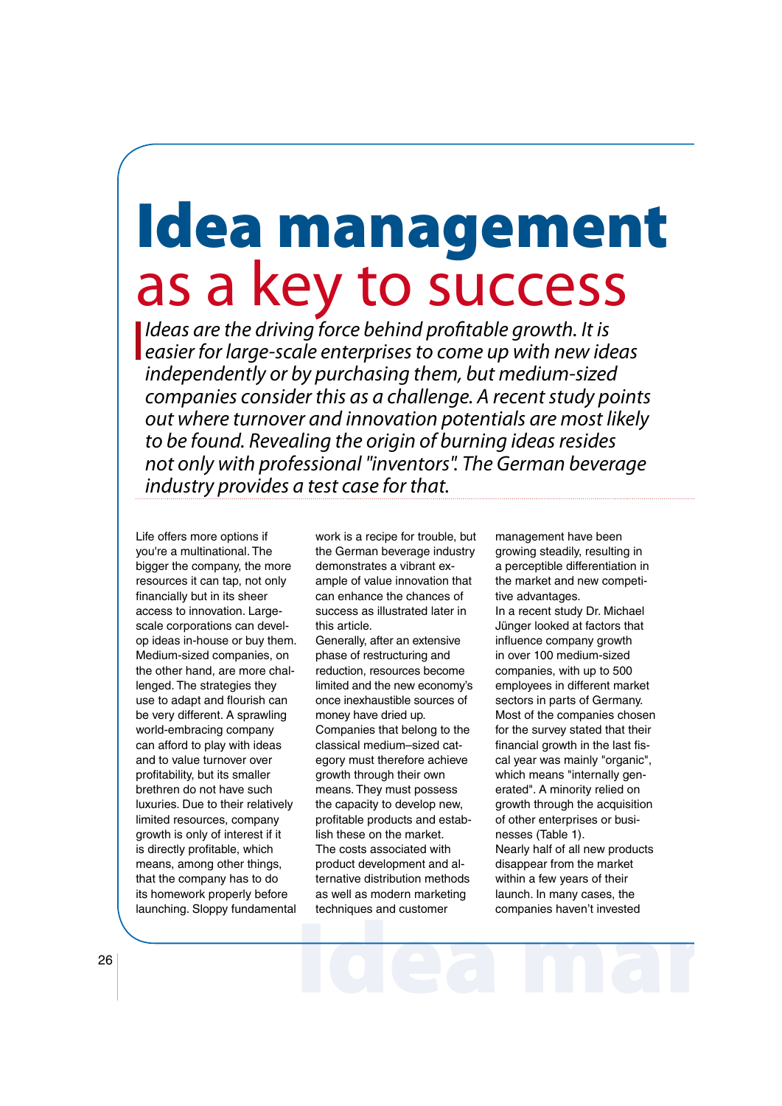# Idea management as a key to success

I Ideas are the driving force behind profitable growth. It is **Leasier for large-scale enterprises to come up with new ideas**  independently or by purchasing them, but medium-sized companies consider this as a challenge. A recent study points out where turnover and innovation potentials are most likely to be found. Revealing the origin of burning ideas resides not only with professional "inventors". The German beverage industry provides a test case for that.

<sup>26</sup> Life offers more options if you're a multinational. The bigger the company, the more resources it can tap, not only financially but in its sheer access to innovation. Largescale corporations can devel op ideas in-house or buy them. Medium-sized companies, on the other hand, are more chal lenged. The strategies they use to adapt and flourish can be very different. A sprawling world-embracing company can afford to play with ideas and to value turnover over profitability, but its smaller brethren do not have such luxuries. Due to their relatively limited resources, company growth is only of interest if it is directly profitable, which means, among other things, that the company has to do its homework properly before launching. Sloppy fundamental

 work is a recipe for trouble, but the German beverage industry demonstrates a vibrant ex ample of value innovation that can enhance the chances of success as illustrated later in this article.

 Generally, after an extensive phase of restructuring and reduction, resources become limited and the new economy's once inexhaustible sources of money have dried up. Companies that belong to the classical medium–sized cat egory must therefore achieve growth through their own means. They must possess the capacity to develop new, profitable products and establish these on the market. The costs associated with product development and al ternative distribution methods as well as modern marketing techniques and customer

 management have been growing steadily, resulting in a perceptible differentiation in the market and new competi tive advantages. In a recent study Dr. Michael Jünger looked at factors that influence company growth in over 100 medium-sized companies, with up to 500 employees in different market sectors in parts of Germany. Most of the companies chosen for the survey stated that their financial growth in the last fis cal year was mainly "organic", which means "internally gen erated". A minority relied on growth through the acquisition of other enterprises or busi nesses (Table 1). Nearly half of all new products disappear from the market within a few years of their launch. In many cases, the companies haven't invested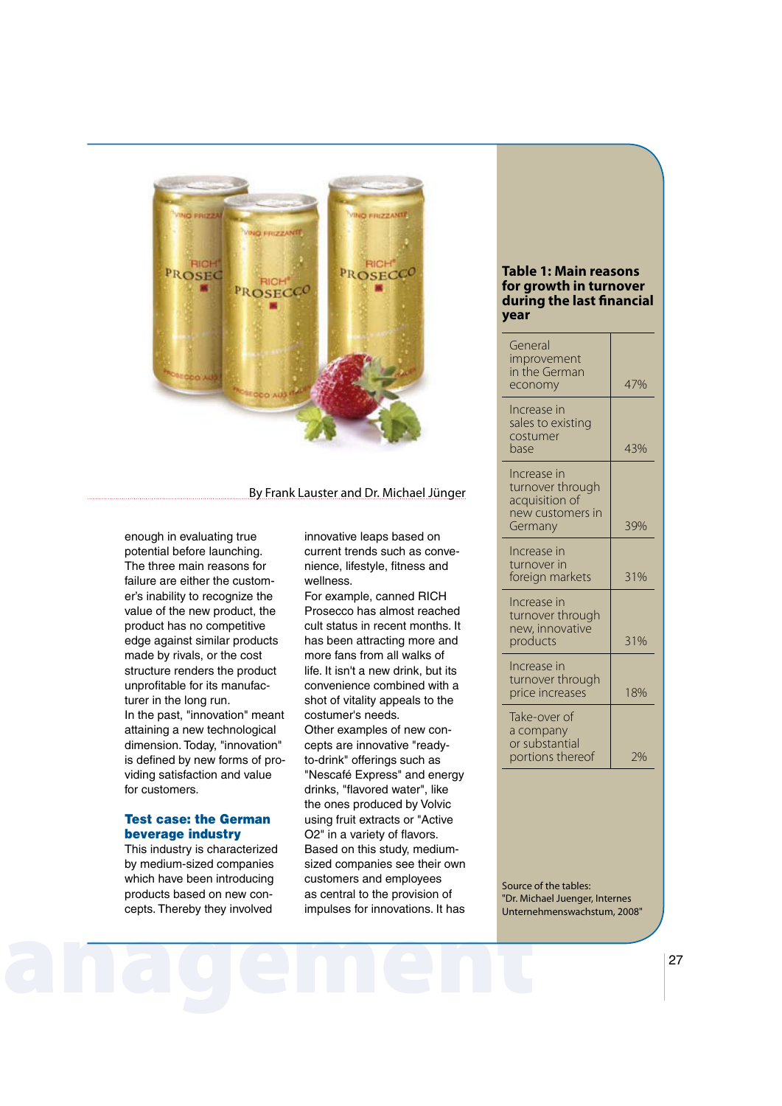

### By Frank Lauster and Dr. Michael Jünger

 enough in evaluating true potential before launching. The three main reasons for failure are either the custom er's inability to recognize the value of the new product, the product has no competitive edge against similar products made by rivals, or the cost structure renders the product unprofitable for its manufacturer in the long run. In the past, "innovation" meant attaining a new technological dimension. Today, "innovation" is defined by new forms of pro viding satisfaction and value for customers.

# Test case: the German beverage industry

 This industry is characterized by medium-sized companies which have been introducing products based on new con cepts. Thereby they involved

 innovative leaps based on current trends such as convenience, lifestyle, fitness and wellness.

 For example, canned RICH Prosecco has almost reached cult status in recent months. It has been attracting more and more fans from all walks of life. It isn't a new drink, but its convenience combined with a shot of vitality appeals to the costumer's needs. Other examples of new concepts are innovative "ready to-drink" offerings such as "Nescafé Express" and energy drinks, "flavored water", like the ones produced by Volvic using fruit extracts or "Active O2" in a variety of flavors. Based on this study, medium sized companies see their own customers and employees as central to the provision of impulses for innovations. It has

## **Table 1: Main reasons for growth in turnover** during the last financial **year**

| General<br>improvement<br>in the German<br>economy                               | 47% |
|----------------------------------------------------------------------------------|-----|
| Increase in<br>sales to existing<br>costumer<br>base                             | 43% |
| Increase in<br>turnover through<br>acquisition of<br>new customers in<br>Germany | 39% |
| Increase in<br>turnover in<br>foreign markets                                    | 31% |
| Increase in<br>turnover through<br>new, innovative<br>products                   | 31% |
| Increase in<br>turnover through<br>price increases                               | 18% |
| Take-over of<br>a company<br>or substantial<br>portions thereof                  | 2%  |

anagement 27 Source of the tables: "Dr. Michael Juenger, Internes Unternehmenswachstum, 2008"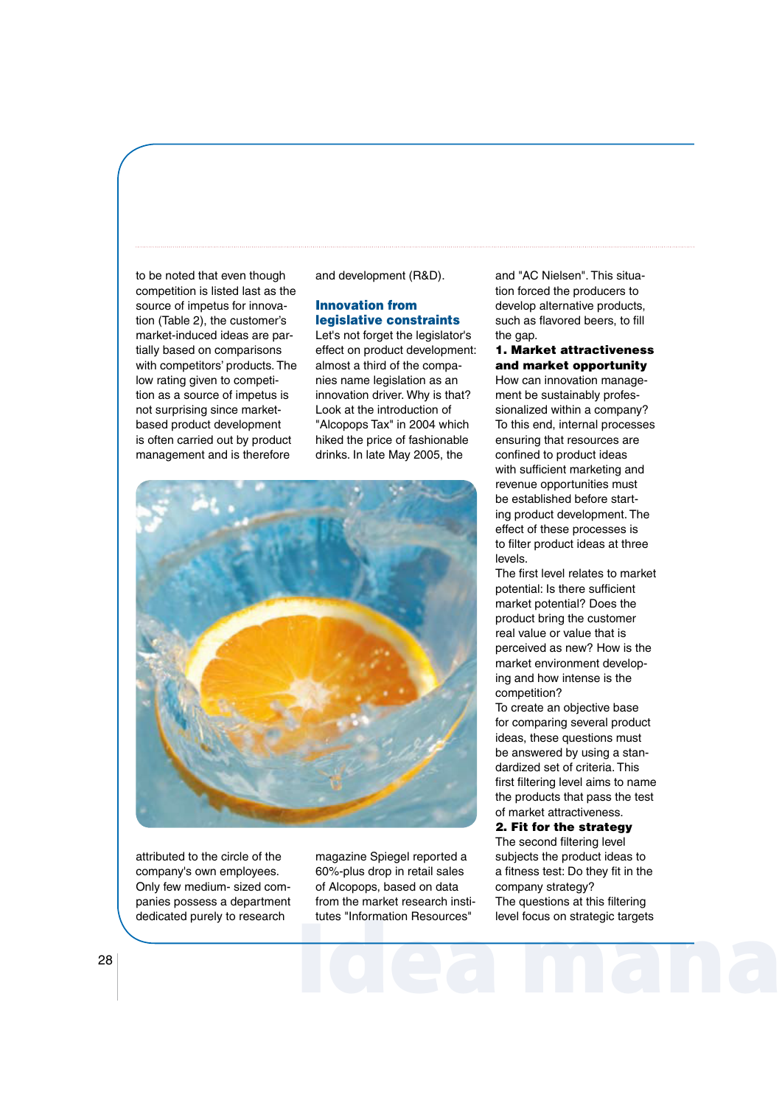to be noted that even though competition is listed last as the source of impetus for innova tion (Table 2), the customer's market-induced ideas are par tially based on comparisons with competitors' products. The low rating given to competi tion as a source of impetus is not surprising since market based product development is often carried out by product management and is therefore

and development (R&D).

## Innovation from legislative constraints

 Let's not forget the legislator's effect on product development: almost a third of the compa nies name legislation as an innovation driver. Why is that? Look at the introduction of "Alcopops Tax" in 2004 which hiked the price of fashionable drinks. In late May 2005, the



 attributed to the circle of the company's own employees. Only few medium- sized com panies possess a department dedicated purely to research

dedicated purely to research tutes "Information Resources" level focus on strategic targets<br>
28 magazine Spiegel reported a 60%-plus drop in retail sales of Alcopops, based on data from the market research insti tutes "Information Resources"

and "AC Nielsen". This situa tion forced the producers to develop alternative products, such as flavored beers, to fill the gap.

#### 1. Market attractiveness and market opportunity

How can innovation management be sustainably profes sionalized within a company? To this end, internal processes ensuring that resources are confined to product ideas with sufficient marketing and revenue opportunities must be established before start ing product development. The effect of these processes is to filter product ideas at three levels.

The first level relates to market potential: Is there sufficient market potential? Does the product bring the customer real value or value that is perceived as new? How is the market environment develop ing and how intense is the competition?

 To create an objective base for comparing several product ideas, these questions must be answered by using a stan dardized set of criteria. This first filtering level aims to name the products that pass the test of market attractiveness.

# 2. Fit for the strategy

The second filtering level subjects the product ideas to a fitness test: Do they fit in the company strategy? The questions at this filtering level focus on strategic targets